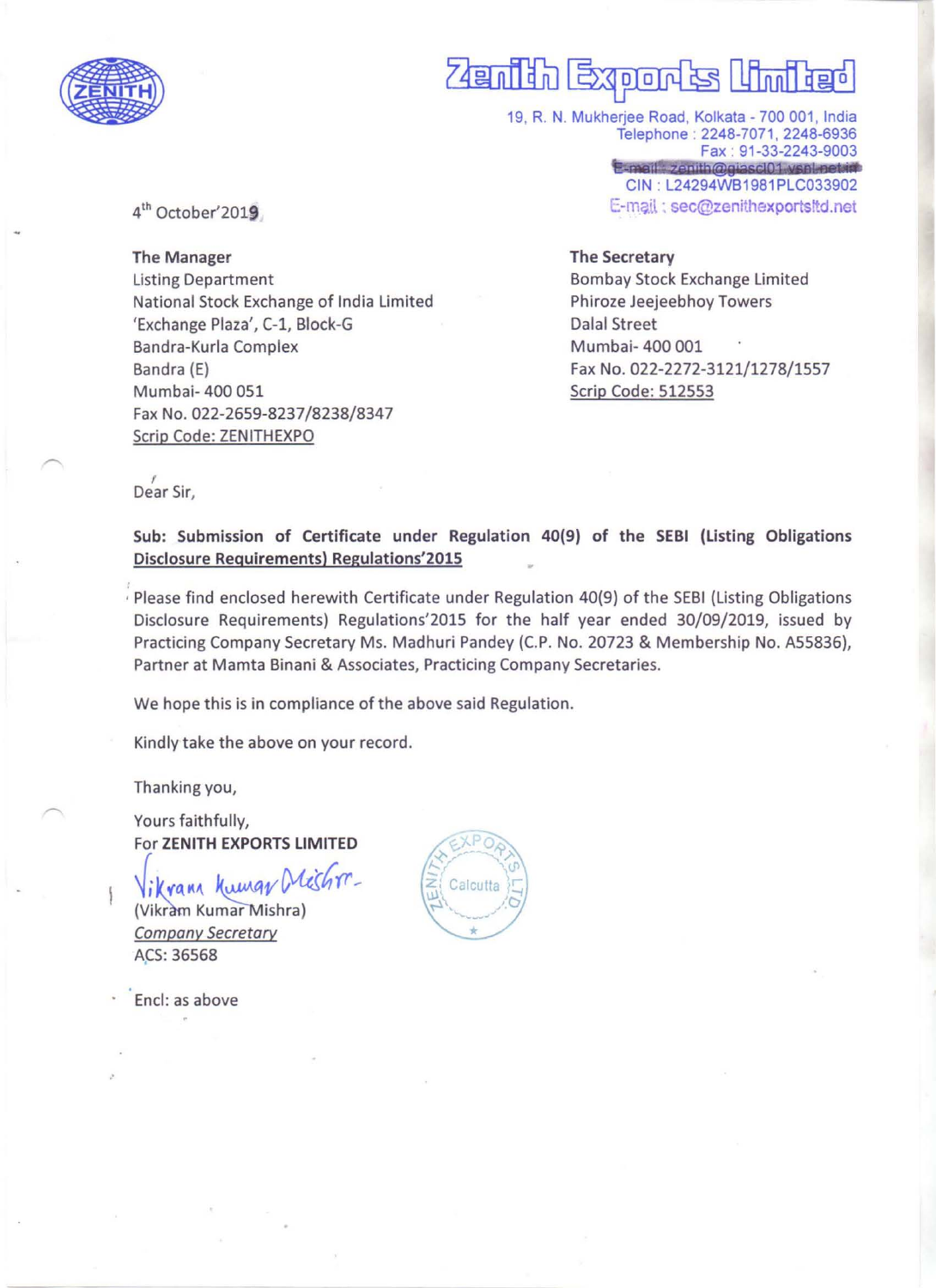

# Zamith Exoonak

19. R. N. Mukherjee Road, Kolkata - 700 001, India Telephone: 2248-7071, 2248-6936 Fax : 91-33-2243-9003<br>E-mail: zenith@giascl01.vsnl.net.id CIN : L24294WB1981PLC033902 E-m?ll : sec@zenithexportsltd.net

4<sup>th</sup> October'2019

The Manager Listing Department National Stock Exchange of India Limited 'Exchange Plaza', C-1, Block-G Bandra-Kurla Complex Bandra (E) Mumbai- 400 051 Fax No. 022-2659-8237/8238/8347 Scrip Code: ZENITHEXPO

#### The Secretary

Bombay Stock Exchange Limited Phiroze Jeejeebhoy Towers Dalal Street Mumbai- 400 001 Fax No. 022-2272-3121/1278/1557 Scrip Code: 512553

Dear Sir,

Sub: Submission of Certificate under Regulation 40(9) of the SEBI (listing Obligations Disclosure Requirements) Regulations'2015 •

Please find enclosed herewith Certificate under Regulation 40(9) of the SEBI (Listing Obligations Disclosure Requirements) Regulations'2015 for the half year ended 30/09/2019, issued by Practicing Company Secretary Ms. Madhuri Pandey (C.P. No. 20723 & Membership No. A55836), Partner at Mamta Binani & Associates, Practicing Company Secretaries.

We hope this is in compliance of the above said Regulation.

Kindly take the above on your record.

Thanking you,

Yours faithfully, For 2ENITH EXPORTS LIMITED

Vikrann Kumar Meshrr. (Vikram Kumar Mishra) Company Secretary ACS: 36568

Encl: as above

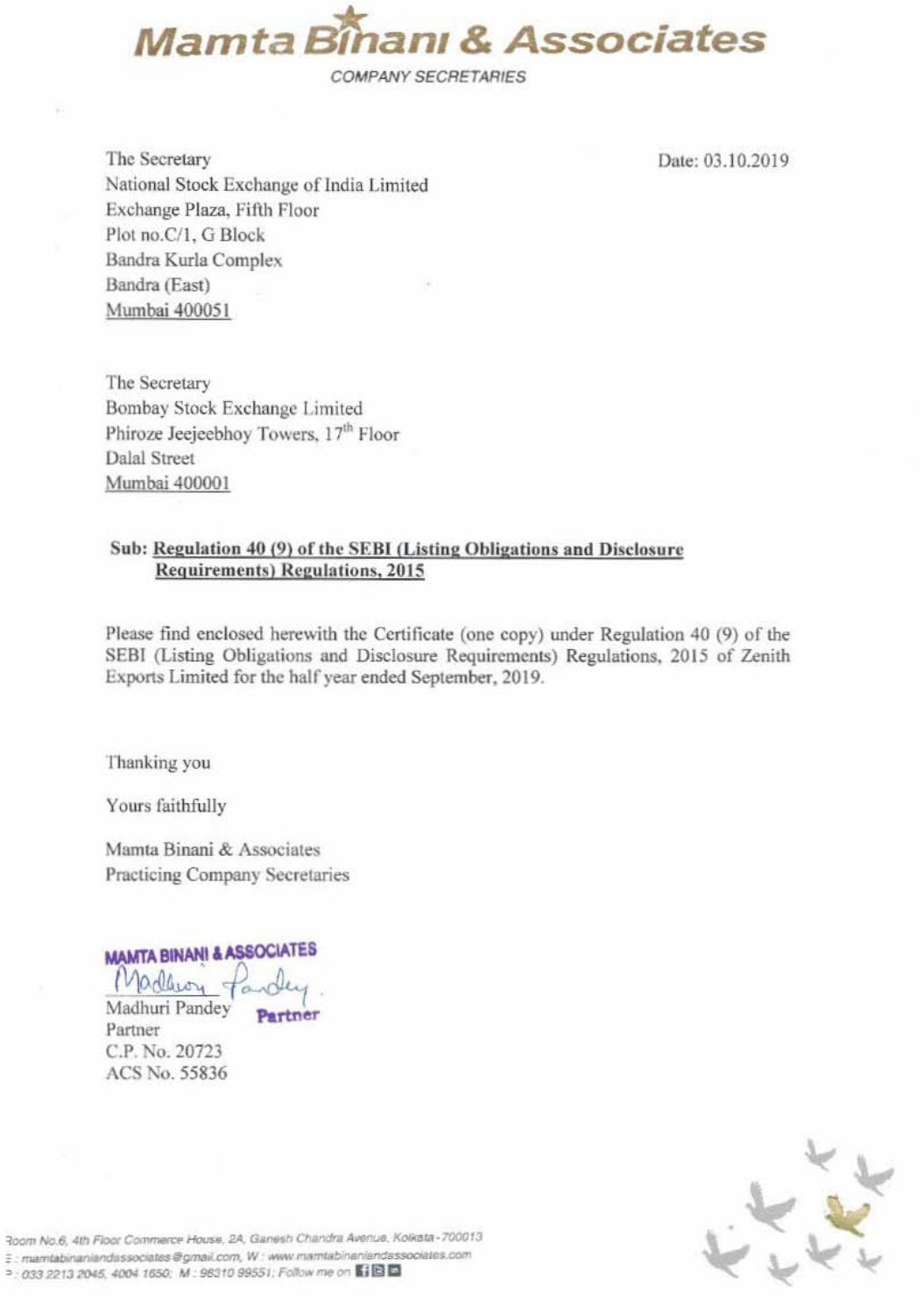

The Secretary National Stock Exchange of India Limited Exchange Plaza, Fifth Floor Plot no.C/1, G Block Bandra Kurla Complex Bandra (East) Mumbai 400051

Date: 03.10.2019

The Secretary Bombay Stock Exchange Limited Phiroze Jeejeebhoy Towers, 17<sup>th</sup> Floor Dalal Street Mumbai 400001

## Sub: Regulation 40 (9) of the SEBI (Listing Obligations and Disclosure **Requirements)** Regulations, 2015

Please find enclosed herewith the Certificate (one copy) under Regulation 40 (9) of the SEBI (Listing Obligations and Disclosure Requirements) Regulations, 2015 of Zenith Exports Limited for the half year ended September, 2019.

Thanking you

Yours faithfully

Mamta Binani & Associates Practicing Company Secretaries

**MAMTA BINANI & ASSOCIATES** 

Madhuri Pandey

Partner C.P. No. 20723 ACS No. 55836



Room No.6, 4th Floor Commerce House, 2A, Ganesh Chandra Avenue, Kolkata-700013 E: mamtabinaniandassociates@gmail.com, W: www.mamtabinaniandassociates.com □ : 033 2213 2045, 4004 1650; M : 98310 99551; Follow me on 【1回